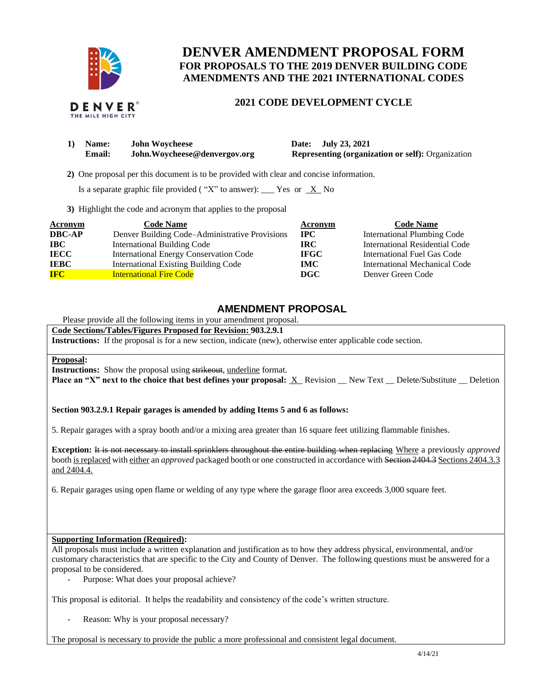

# **DENVER AMENDMENT PROPOSAL FORM FOR PROPOSALS TO THE 2019 DENVER BUILDING CODE AMENDMENTS AND THE 2021 INTERNATIONAL CODES**

## **2021 CODE DEVELOPMENT CYCLE**

| 1) | <b>Name:</b> | <b>John Woycheese</b>         |  |
|----|--------------|-------------------------------|--|
|    | Email:       | John. Woycheese@denvergov.org |  |

**1) Date: July 23, 2021 Representing (organization or self):** Organization

 **2)** One proposal per this document is to be provided with clear and concise information.

Is a separate graphic file provided ("X" to answer): \_\_\_ Yes or  $X$  No

**3)** Highlight the code and acronym that applies to the proposal

| <b>Acronym</b> | <b>Code Name</b>                               | Acronym     | <b>Code Name</b>                   |
|----------------|------------------------------------------------|-------------|------------------------------------|
| <b>DBC-AP</b>  | Denver Building Code–Administrative Provisions | $\bf IPC$   | <b>International Plumbing Code</b> |
| <b>IBC</b>     | <b>International Building Code</b>             | <b>IRC</b>  | International Residential Code     |
| <b>IECC</b>    | International Energy Conservation Code         | <b>IFGC</b> | International Fuel Gas Code        |
| <b>IEBC</b>    | <b>International Existing Building Code</b>    | <b>IMC</b>  | International Mechanical Code      |
| <b>IFC</b>     | <b>International Fire Code</b>                 | DGC         | Denver Green Code                  |

## **AMENDMENT PROPOSAL**

Please provide all the following items in your amendment proposal.

### **Code Sections/Tables/Figures Proposed for Revision: 903.2.9.1**

**Instructions:** If the proposal is for a new section, indicate (new), otherwise enter applicable code section.

#### **Proposal:**

**Instructions:** Show the proposal using strikeout, underline format.

**Place an "X" next to the choice that best defines your proposal:** X Revision \_\_ New Text \_\_ Delete/Substitute \_\_ Deletion

### **Section 903.2.9.1 Repair garages is amended by adding Items 5 and 6 as follows:**

5. Repair garages with a spray booth and/or a mixing area greater than 16 square feet utilizing flammable finishes.

**Exception:** It is not necessary to install sprinklers throughout the entire building when replacing Where a previously *approved* booth is replaced with either an *approved* packaged booth or one constructed in accordance with Section 2404.3Sections 2404.3.3 and 2404.4.

6. Repair garages using open flame or welding of any type where the garage floor area exceeds 3,000 square feet.

#### **Supporting Information (Required):**

All proposals must include a written explanation and justification as to how they address physical, environmental, and/or customary characteristics that are specific to the City and County of Denver. The following questions must be answered for a proposal to be considered.

Purpose: What does your proposal achieve?

This proposal is editorial. It helps the readability and consistency of the code's written structure.

Reason: Why is your proposal necessary?

The proposal is necessary to provide the public a more professional and consistent legal document.